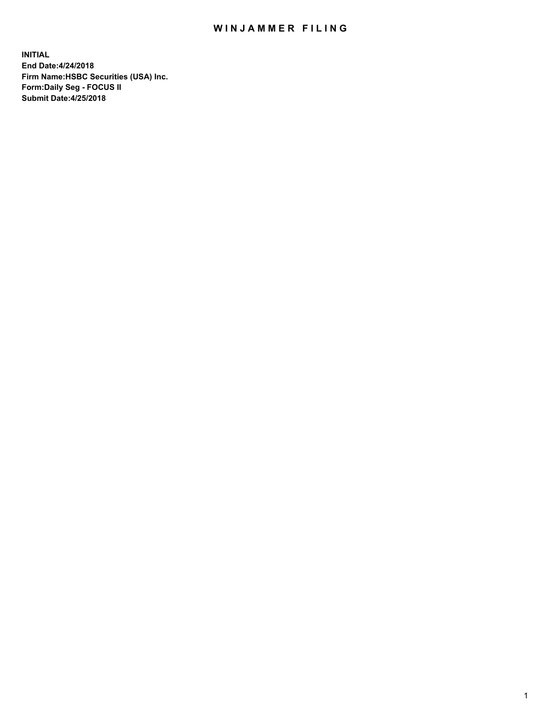## WIN JAMMER FILING

**INITIAL End Date:4/24/2018 Firm Name:HSBC Securities (USA) Inc. Form:Daily Seg - FOCUS II Submit Date:4/25/2018**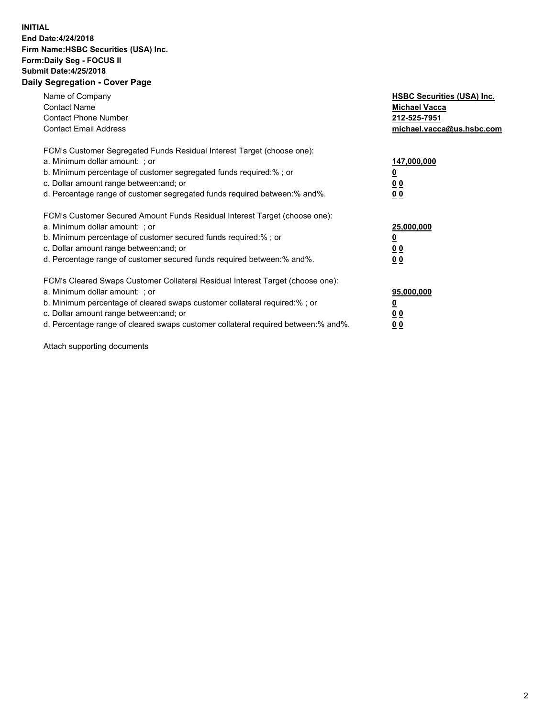## **INITIAL End Date:4/24/2018 Firm Name:HSBC Securities (USA) Inc. Form:Daily Seg - FOCUS II Submit Date:4/25/2018 Daily Segregation - Cover Page**

| Name of Company<br><b>Contact Name</b><br><b>Contact Phone Number</b><br><b>Contact Email Address</b>                                                                                                                                                                                                                         | <b>HSBC Securities (USA) Inc.</b><br><b>Michael Vacca</b><br>212-525-7951<br>michael.vacca@us.hsbc.com |
|-------------------------------------------------------------------------------------------------------------------------------------------------------------------------------------------------------------------------------------------------------------------------------------------------------------------------------|--------------------------------------------------------------------------------------------------------|
| FCM's Customer Segregated Funds Residual Interest Target (choose one):<br>a. Minimum dollar amount: ; or<br>b. Minimum percentage of customer segregated funds required:% ; or<br>c. Dollar amount range between: and; or<br>d. Percentage range of customer segregated funds required between: % and %.                      | 147,000,000<br><u>0</u><br><u>00</u><br>0 <sub>0</sub>                                                 |
| FCM's Customer Secured Amount Funds Residual Interest Target (choose one):<br>a. Minimum dollar amount: ; or<br>b. Minimum percentage of customer secured funds required:%; or<br>c. Dollar amount range between: and; or<br>d. Percentage range of customer secured funds required between: % and %.                         | 25,000,000<br><u>0</u><br><u>00</u><br>00                                                              |
| FCM's Cleared Swaps Customer Collateral Residual Interest Target (choose one):<br>a. Minimum dollar amount: ; or<br>b. Minimum percentage of cleared swaps customer collateral required:%; or<br>c. Dollar amount range between: and; or<br>d. Percentage range of cleared swaps customer collateral required between:% and%. | 95,000,000<br><u>0</u><br>0 <sub>0</sub><br>0 <sub>0</sub>                                             |

Attach supporting documents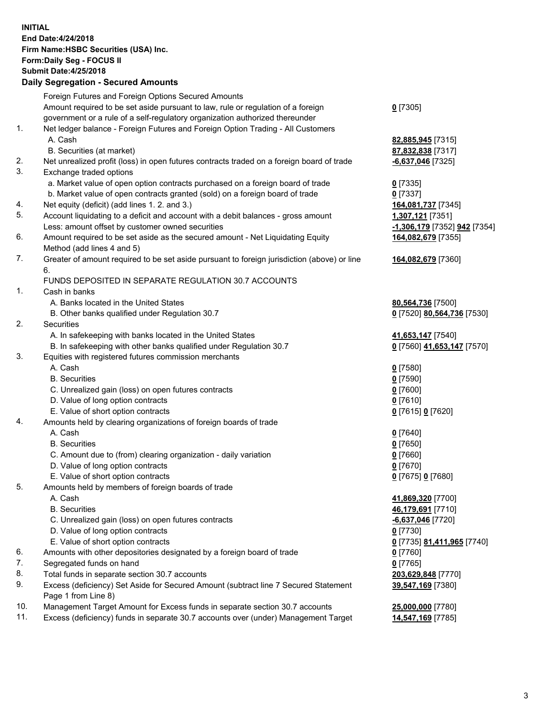**INITIAL End Date:4/24/2018 Firm Name:HSBC Securities (USA) Inc. Form:Daily Seg - FOCUS II Submit Date:4/25/2018 Daily Segregation - Secured Amounts**

Foreign Futures and Foreign Options Secured Amounts Amount required to be set aside pursuant to law, rule or regulation of a foreign government or a rule of a self-regulatory organization authorized thereunder **0** [7305] 1. Net ledger balance - Foreign Futures and Foreign Option Trading - All Customers A. Cash **82,885,945** [7315] B. Securities (at market) **87,832,838** [7317] 2. Net unrealized profit (loss) in open futures contracts traded on a foreign board of trade **-6,637,046** [7325] 3. Exchange traded options a. Market value of open option contracts purchased on a foreign board of trade **0** [7335] b. Market value of open contracts granted (sold) on a foreign board of trade **0** [7337] 4. Net equity (deficit) (add lines 1. 2. and 3.) **164,081,737** [7345] 5. Account liquidating to a deficit and account with a debit balances - gross amount **1,307,121** [7351] Less: amount offset by customer owned securities **-1,306,179** [7352] **942** [7354] 6. Amount required to be set aside as the secured amount - Net Liquidating Equity Method (add lines 4 and 5) **164,082,679** [7355] 7. Greater of amount required to be set aside pursuant to foreign jurisdiction (above) or line 6. **164,082,679** [7360] FUNDS DEPOSITED IN SEPARATE REGULATION 30.7 ACCOUNTS 1. Cash in banks A. Banks located in the United States **80,564,736** [7500] B. Other banks qualified under Regulation 30.7 **0** [7520] **80,564,736** [7530] 2. Securities A. In safekeeping with banks located in the United States **41,653,147** [7540] B. In safekeeping with other banks qualified under Regulation 30.7 **0** [7560] **41,653,147** [7570] 3. Equities with registered futures commission merchants A. Cash **0** [7580] B. Securities **0** [7590] C. Unrealized gain (loss) on open futures contracts **0** [7600] D. Value of long option contracts **0** [7610] E. Value of short option contracts **0** [7615] **0** [7620] 4. Amounts held by clearing organizations of foreign boards of trade A. Cash **0** [7640] B. Securities **0** [7650] C. Amount due to (from) clearing organization - daily variation **0** [7660] D. Value of long option contracts **0** [7670] E. Value of short option contracts **0** [7675] **0** [7680] 5. Amounts held by members of foreign boards of trade A. Cash **41,869,320** [7700] B. Securities **46,179,691** [7710] C. Unrealized gain (loss) on open futures contracts **-6,637,046** [7720] D. Value of long option contracts **0** [7730] E. Value of short option contracts **0** [7735] **81,411,965** [7740] 6. Amounts with other depositories designated by a foreign board of trade **0** [7760] 7. Segregated funds on hand **0** [7765] 8. Total funds in separate section 30.7 accounts **203,629,848** [7770] 9. Excess (deficiency) Set Aside for Secured Amount (subtract line 7 Secured Statement Page 1 from Line 8) **39,547,169** [7380] 10. Management Target Amount for Excess funds in separate section 30.7 accounts **25,000,000** [7780] 11. Excess (deficiency) funds in separate 30.7 accounts over (under) Management Target **14,547,169** [7785]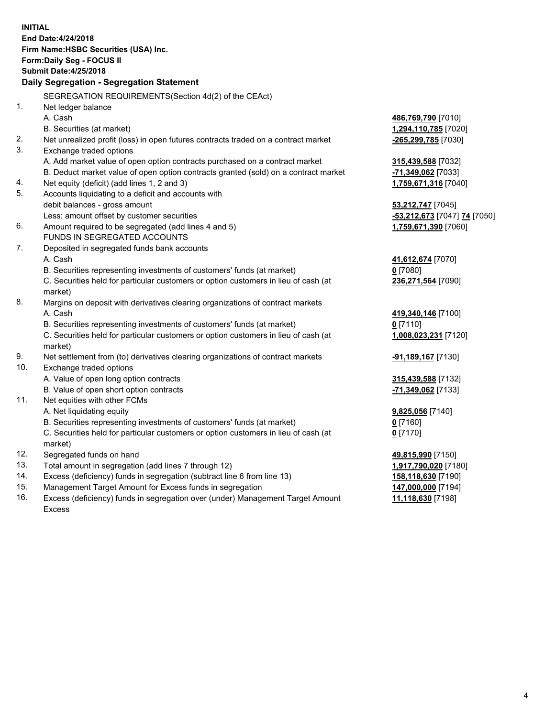**INITIAL End Date:4/24/2018 Firm Name:HSBC Securities (USA) Inc. Form:Daily Seg - FOCUS II Submit Date:4/25/2018 Daily Segregation - Segregation Statement** SEGREGATION REQUIREMENTS(Section 4d(2) of the CEAct) 1. Net ledger balance A. Cash **486,769,790** [7010] B. Securities (at market) **1,294,110,785** [7020] 2. Net unrealized profit (loss) in open futures contracts traded on a contract market **-265,299,785** [7030] 3. Exchange traded options A. Add market value of open option contracts purchased on a contract market **315,439,588** [7032] B. Deduct market value of open option contracts granted (sold) on a contract market **-71,349,062** [7033] 4. Net equity (deficit) (add lines 1, 2 and 3) **1,759,671,316** [7040] 5. Accounts liquidating to a deficit and accounts with debit balances - gross amount **53,212,747** [7045] Less: amount offset by customer securities **-53,212,673** [7047] **74** [7050] 6. Amount required to be segregated (add lines 4 and 5) **1,759,671,390** [7060] FUNDS IN SEGREGATED ACCOUNTS 7. Deposited in segregated funds bank accounts A. Cash **41,612,674** [7070] B. Securities representing investments of customers' funds (at market) **0** [7080] C. Securities held for particular customers or option customers in lieu of cash (at market) **236,271,564** [7090] 8. Margins on deposit with derivatives clearing organizations of contract markets A. Cash **419,340,146** [7100] B. Securities representing investments of customers' funds (at market) **0** [7110] C. Securities held for particular customers or option customers in lieu of cash (at market) **1,008,023,231** [7120] 9. Net settlement from (to) derivatives clearing organizations of contract markets **-91,189,167** [7130] 10. Exchange traded options A. Value of open long option contracts **315,439,588** [7132] B. Value of open short option contracts **-71,349,062** [7133] 11. Net equities with other FCMs A. Net liquidating equity **9,825,056** [7140] B. Securities representing investments of customers' funds (at market) **0** [7160] C. Securities held for particular customers or option customers in lieu of cash (at market) **0** [7170] 12. Segregated funds on hand **49,815,990** [7150] 13. Total amount in segregation (add lines 7 through 12) **1,917,790,020** [7180] 14. Excess (deficiency) funds in segregation (subtract line 6 from line 13) **158,118,630** [7190] 15. Management Target Amount for Excess funds in segregation **147,000,000** [7194]

16. Excess (deficiency) funds in segregation over (under) Management Target Amount Excess

**11,118,630** [7198]